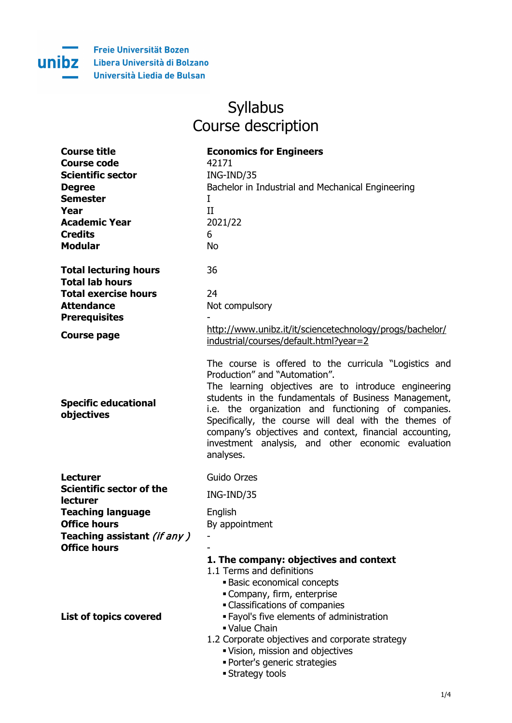

## Syllabus Course description

| <b>Course title</b>      | <b>Economics for Engineers</b>                    |
|--------------------------|---------------------------------------------------|
| Course code              | 42171                                             |
| <b>Scientific sector</b> | ING-IND/35                                        |
| <b>Degree</b>            | Bachelor in Industrial and Mechanical Engineering |
| <b>Semester</b>          |                                                   |
| Year                     |                                                   |
| <b>Academic Year</b>     | 7071/77                                           |
| <b>Credits</b>           |                                                   |
|                          |                                                   |

| <b>Total lecturing hours</b> | 36                                                                                                 |
|------------------------------|----------------------------------------------------------------------------------------------------|
| <b>Total lab hours</b>       |                                                                                                    |
| <b>Total exercise hours</b>  |                                                                                                    |
| <b>Attendance</b>            | Not compulsory                                                                                     |
| <b>Prerequisites</b>         |                                                                                                    |
| Course page                  | http://www.unibz.it/it/sciencetechnology/progs/bachelor/<br>industrial/courses/default.html?year=2 |

| Lecturer                                    | Guido Orzes                                                                                                                                                                                                                                                                                                                                                                       |
|---------------------------------------------|-----------------------------------------------------------------------------------------------------------------------------------------------------------------------------------------------------------------------------------------------------------------------------------------------------------------------------------------------------------------------------------|
| Scientific sector of the<br><b>lecturer</b> | ING-IND/35                                                                                                                                                                                                                                                                                                                                                                        |
| <b>Teaching language</b>                    | English                                                                                                                                                                                                                                                                                                                                                                           |
| <b>Office hours</b>                         | By appointment                                                                                                                                                                                                                                                                                                                                                                    |
| Teaching assistant (if any)                 |                                                                                                                                                                                                                                                                                                                                                                                   |
| <b>Office hours</b>                         |                                                                                                                                                                                                                                                                                                                                                                                   |
| <b>List of topics covered</b>               | 1. The company: objectives and context<br>1.1 Terms and definitions<br><b>Basic economical concepts</b><br>• Company, firm, enterprise<br>• Classifications of companies<br>· Fayol's five elements of administration<br>■ Value Chain<br>1.2 Corporate objectives and corporate strategy<br>"Vision, mission and objectives<br>· Porter's generic strategies<br>• Strategy tools |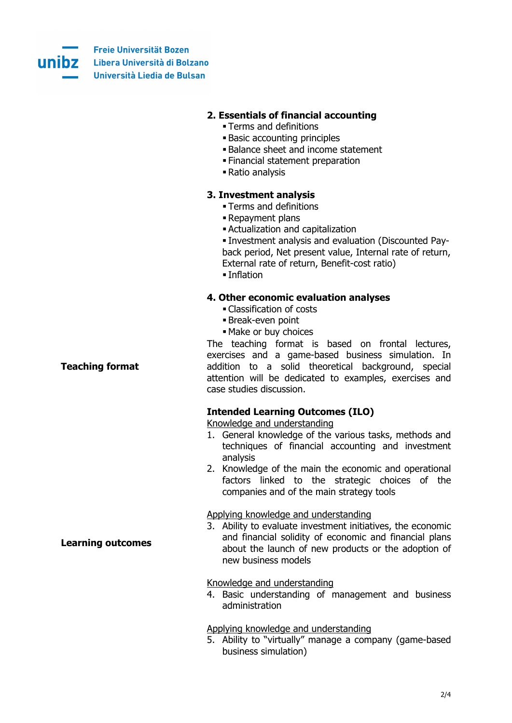

 $\ddot{r}$ 

**Freie Universität Bozen UNIDZ** Libera Università di Bolzano Università Liedia de Bulsan

|                        | 2. Essentials of financial accounting<br>• Terms and definitions<br><b>Basic accounting principles</b><br><b>Balance sheet and income statement</b><br>. Financial statement preparation<br>- Ratio analysis                                                                                     |
|------------------------|--------------------------------------------------------------------------------------------------------------------------------------------------------------------------------------------------------------------------------------------------------------------------------------------------|
|                        | 3. Investment analysis<br>• Terms and definitions<br>- Repayment plans<br>- Actualization and capitalization<br>. Investment analysis and evaluation (Discounted Pay-<br>back period, Net present value, Internal rate of return,<br>External rate of return, Benefit-cost ratio)<br>■ Inflation |
|                        | 4. Other economic evaluation analyses<br>• Classification of costs<br>Break-even point<br>• Make or buy choices                                                                                                                                                                                  |
| <b>Teaching format</b> | The teaching format is based on frontal lectures,<br>exercises and a game-based business simulation. In<br>addition to a solid theoretical background, special<br>attention will be dedicated to examples, exercises and<br>case studies discussion.                                             |

|                          | <b>Intended Learning Outcomes (ILO)</b><br>Knowledge and understanding<br>1. General knowledge of the various tasks, methods and<br>techniques of financial accounting and investment<br>analysis<br>2. Knowledge of the main the economic and operational<br>factors linked to the strategic choices of the<br>companies and of the main strategy tools |
|--------------------------|----------------------------------------------------------------------------------------------------------------------------------------------------------------------------------------------------------------------------------------------------------------------------------------------------------------------------------------------------------|
| <b>Learning outcomes</b> | Applying knowledge and understanding<br>3. Ability to evaluate investment initiatives, the economic<br>and financial solidity of economic and financial plans<br>about the launch of new products or the adoption of<br>new business models                                                                                                              |
|                          | Knowledge and understanding<br>4. Basic understanding of management and business<br>administration                                                                                                                                                                                                                                                       |
|                          | Applying knowledge and understanding<br>5. Ability to "virtually" manage a company (game-based<br>business simulation)                                                                                                                                                                                                                                   |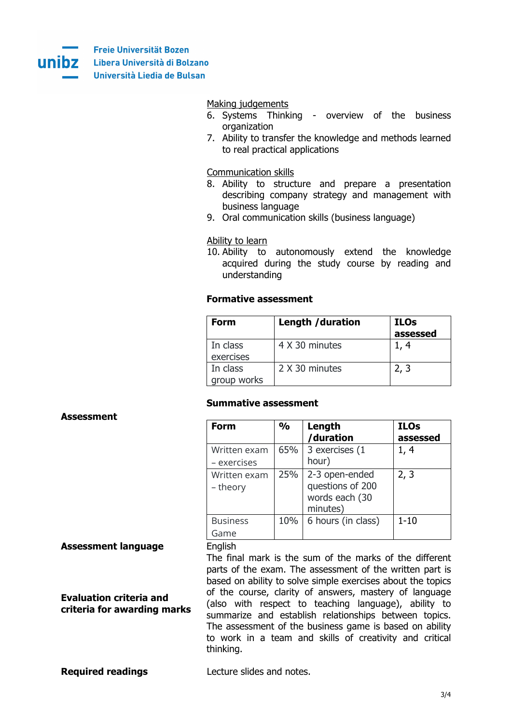

| Making judgements<br>6. Systems Thinking - overview of the business<br>organization<br>7. Ability to transfer the knowledge and methods learned<br>to real practical applications                             |
|---------------------------------------------------------------------------------------------------------------------------------------------------------------------------------------------------------------|
| <b>Communication skills</b><br>8. Ability to structure and prepare a presentation<br>describing company strategy and management with<br>business language<br>9. Oral communication skills (business language) |
| Ability to learn<br>10. Ability to autonomously extend the knowledge<br>acquired during the study course by reading and<br>understanding                                                                      |

|                                                               | <b>Formative assessment</b>                                                                                                                                                                                                                                                                                                                                                                                                                                                                      |                  |                                                                  |                         |
|---------------------------------------------------------------|--------------------------------------------------------------------------------------------------------------------------------------------------------------------------------------------------------------------------------------------------------------------------------------------------------------------------------------------------------------------------------------------------------------------------------------------------------------------------------------------------|------------------|------------------------------------------------------------------|-------------------------|
|                                                               | <b>Form</b>                                                                                                                                                                                                                                                                                                                                                                                                                                                                                      | Length /duration |                                                                  | <b>ILOs</b><br>assessed |
|                                                               | In class<br>exercises                                                                                                                                                                                                                                                                                                                                                                                                                                                                            | 4 X 30 minutes   |                                                                  | 1, 4                    |
|                                                               | In class<br>group works                                                                                                                                                                                                                                                                                                                                                                                                                                                                          | 2 X 30 minutes   |                                                                  | 2, 3                    |
| <b>Assessment</b>                                             | <b>Summative assessment</b>                                                                                                                                                                                                                                                                                                                                                                                                                                                                      |                  |                                                                  |                         |
|                                                               | <b>Form</b>                                                                                                                                                                                                                                                                                                                                                                                                                                                                                      | $\frac{9}{0}$    | Length<br>/duration                                              | <b>ILOs</b><br>assessed |
|                                                               | Written exam<br>- exercises                                                                                                                                                                                                                                                                                                                                                                                                                                                                      | 65%              | 3 exercises (1<br>hour)                                          | 1, 4                    |
|                                                               | Written exam<br>- theory                                                                                                                                                                                                                                                                                                                                                                                                                                                                         | 25%              | 2-3 open-ended<br>questions of 200<br>words each (30<br>minutes) | 2, 3                    |
|                                                               | <b>Business</b><br>Game                                                                                                                                                                                                                                                                                                                                                                                                                                                                          | 10%              | 6 hours (in class)                                               | $1 - 10$                |
| <b>Assessment language</b>                                    | English                                                                                                                                                                                                                                                                                                                                                                                                                                                                                          |                  |                                                                  |                         |
| <b>Evaluation criteria and</b><br>criteria for awarding marks | The final mark is the sum of the marks of the different<br>parts of the exam. The assessment of the written part is<br>based on ability to solve simple exercises about the topics<br>of the course, clarity of answers, mastery of language<br>(also with respect to teaching language), ability to<br>summarize and establish relationships between topics.<br>The assessment of the business game is based on ability<br>to work in a team and skills of creativity and critical<br>thinking. |                  |                                                                  |                         |

| <b>Required readings</b> | notoc<br>slides and<br>∩ore∙ |
|--------------------------|------------------------------|
|                          |                              |